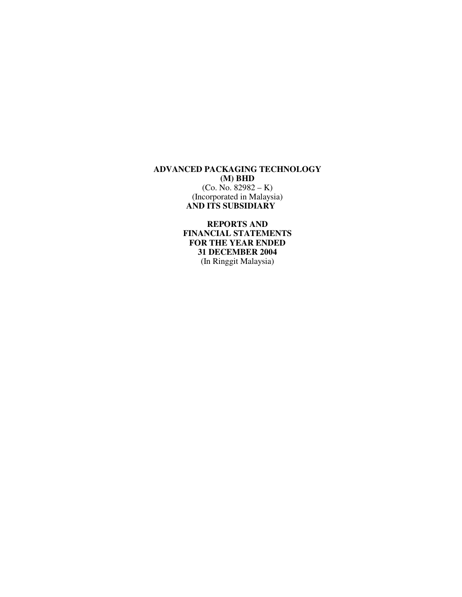**REPORTS AND FINANCIAL STATEMENTS FOR THE YEAR ENDED 31 DECEMBER 2004**  (In Ringgit Malaysia)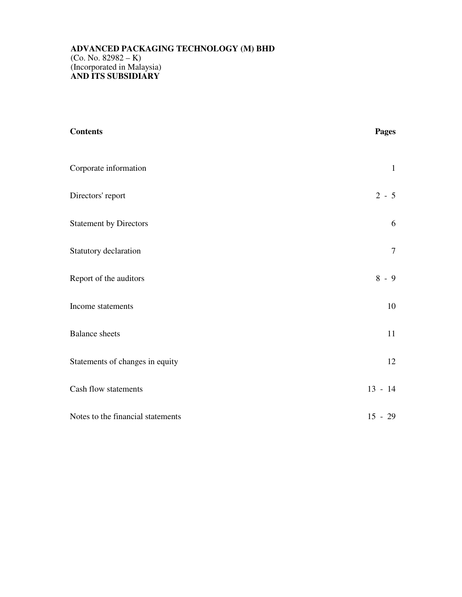| <b>Contents</b>                   | <b>Pages</b> |
|-----------------------------------|--------------|
| Corporate information             | $\mathbf{1}$ |
| Directors' report                 | $2 - 5$      |
| <b>Statement by Directors</b>     | $6\,$        |
| Statutory declaration             | $\tau$       |
| Report of the auditors            | $8 - 9$      |
| Income statements                 | $10\,$       |
| <b>Balance</b> sheets             | 11           |
| Statements of changes in equity   | 12           |
| Cash flow statements              | $13 - 14$    |
| Notes to the financial statements | $15 - 29$    |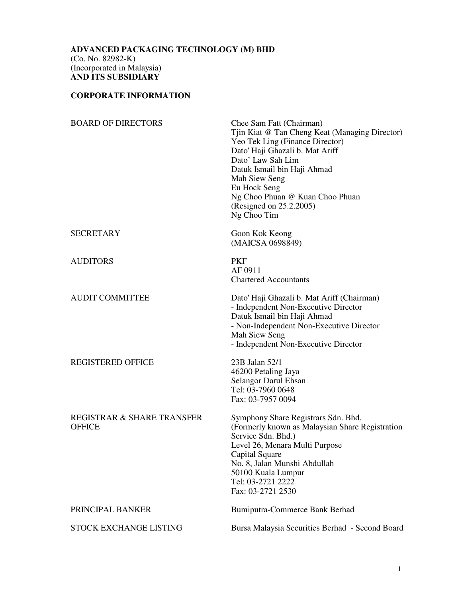# **CORPORATE INFORMATION**

| <b>BOARD OF DIRECTORS</b>                   | Chee Sam Fatt (Chairman)<br>Tjin Kiat @ Tan Cheng Keat (Managing Director)<br>Yeo Tek Ling (Finance Director)<br>Dato' Haji Ghazali b. Mat Ariff<br>Dato' Law Sah Lim<br>Datuk Ismail bin Haji Ahmad<br>Mah Siew Seng<br>Eu Hock Seng<br>Ng Choo Phuan @ Kuan Choo Phuan<br>(Resigned on 25.2.2005)<br>Ng Choo Tim |
|---------------------------------------------|--------------------------------------------------------------------------------------------------------------------------------------------------------------------------------------------------------------------------------------------------------------------------------------------------------------------|
| <b>SECRETARY</b>                            | Goon Kok Keong<br>(MAICSA 0698849)                                                                                                                                                                                                                                                                                 |
| <b>AUDITORS</b>                             | <b>PKF</b><br>AF 0911<br><b>Chartered Accountants</b>                                                                                                                                                                                                                                                              |
| <b>AUDIT COMMITTEE</b>                      | Dato' Haji Ghazali b. Mat Ariff (Chairman)<br>- Independent Non-Executive Director<br>Datuk Ismail bin Haji Ahmad<br>- Non-Independent Non-Executive Director<br>Mah Siew Seng<br>- Independent Non-Executive Director                                                                                             |
| <b>REGISTERED OFFICE</b>                    | 23B Jalan 52/1<br>46200 Petaling Jaya<br>Selangor Darul Ehsan<br>Tel: 03-7960 0648<br>Fax: 03-7957 0094                                                                                                                                                                                                            |
| REGISTRAR & SHARE TRANSFER<br><b>OFFICE</b> | Symphony Share Registrars Sdn. Bhd.<br>(Formerly known as Malaysian Share Registration<br>Service Sdn. Bhd.)<br>Level 26, Menara Multi Purpose<br>Capital Square<br>No. 8, Jalan Munshi Abdullah<br>50100 Kuala Lumpur<br>Tel: 03-2721 2222<br>Fax: 03-2721 2530                                                   |
| PRINCIPAL BANKER                            | Bumiputra-Commerce Bank Berhad                                                                                                                                                                                                                                                                                     |
| STOCK EXCHANGE LISTING                      | Bursa Malaysia Securities Berhad - Second Board                                                                                                                                                                                                                                                                    |
|                                             |                                                                                                                                                                                                                                                                                                                    |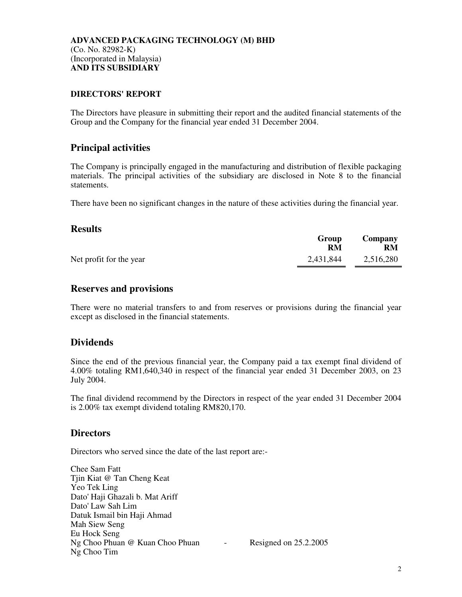#### **DIRECTORS' REPORT**

The Directors have pleasure in submitting their report and the audited financial statements of the Group and the Company for the financial year ended 31 December 2004.

# **Principal activities**

The Company is principally engaged in the manufacturing and distribution of flexible packaging materials. The principal activities of the subsidiary are disclosed in Note 8 to the financial statements.

There have been no significant changes in the nature of these activities during the financial year.

## **Results**

|                         | Group<br>RM | Company<br>RM |
|-------------------------|-------------|---------------|
| Net profit for the year | 2,431,844   | 2,516,280     |

## **Reserves and provisions**

There were no material transfers to and from reserves or provisions during the financial year except as disclosed in the financial statements.

# **Dividends**

Since the end of the previous financial year, the Company paid a tax exempt final dividend of 4.00% totaling RM1,640,340 in respect of the financial year ended 31 December 2003, on 23 July 2004.

The final dividend recommend by the Directors in respect of the year ended 31 December 2004 is 2.00% tax exempt dividend totaling RM820,170.

#### **Directors**

Directors who served since the date of the last report are:-

Chee Sam Fatt Tjin Kiat @ Tan Cheng Keat Yeo Tek Ling Dato' Haji Ghazali b. Mat Ariff Dato' Law Sah Lim Datuk Ismail bin Haji Ahmad Mah Siew Seng Eu Hock Seng Ng Choo Phuan @ Kuan Choo Phuan - Resigned on 25.2.2005 Ng Choo Tim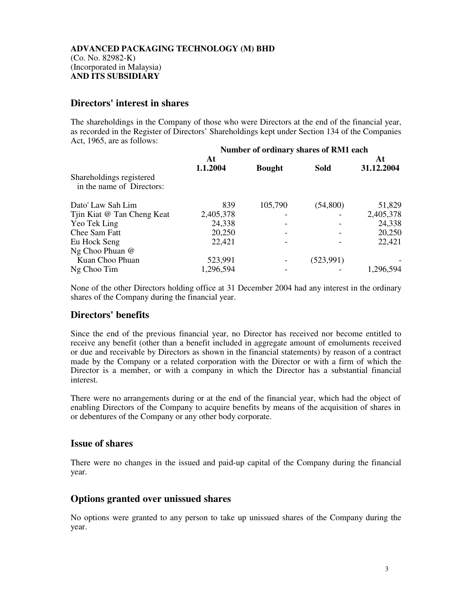## **Directors' interest in shares**

The shareholdings in the Company of those who were Directors at the end of the financial year, as recorded in the Register of Directors' Shareholdings kept under Section 134 of the Companies Act, 1965, are as follows:

|                                                       | Number of ordinary shares of RM1 each |               |             |            |  |
|-------------------------------------------------------|---------------------------------------|---------------|-------------|------------|--|
|                                                       | At                                    |               |             | At         |  |
|                                                       | 1.1.2004                              | <b>Bought</b> | <b>Sold</b> | 31.12.2004 |  |
| Shareholdings registered<br>in the name of Directors: |                                       |               |             |            |  |
| Dato' Law Sah Lim                                     | 839                                   | 105,790       | (54, 800)   | 51,829     |  |
| Tjin Kiat @ Tan Cheng Keat                            | 2,405,378                             |               |             | 2,405,378  |  |
| Yeo Tek Ling                                          | 24,338                                |               |             | 24,338     |  |
| Chee Sam Fatt                                         | 20,250                                |               |             | 20,250     |  |
| Eu Hock Seng                                          | 22,421                                |               |             | 22,421     |  |
| Ng Choo Phuan @                                       |                                       |               |             |            |  |
| Kuan Choo Phuan                                       | 523,991                               |               | (523, 991)  |            |  |
| Ng Choo Tim                                           | 1,296,594                             |               |             | 1,296,594  |  |

None of the other Directors holding office at 31 December 2004 had any interest in the ordinary shares of the Company during the financial year.

# **Directors' benefits**

Since the end of the previous financial year, no Director has received nor become entitled to receive any benefit (other than a benefit included in aggregate amount of emoluments received or due and receivable by Directors as shown in the financial statements) by reason of a contract made by the Company or a related corporation with the Director or with a firm of which the Director is a member, or with a company in which the Director has a substantial financial interest.

There were no arrangements during or at the end of the financial year, which had the object of enabling Directors of the Company to acquire benefits by means of the acquisition of shares in or debentures of the Company or any other body corporate.

#### **Issue of shares**

There were no changes in the issued and paid-up capital of the Company during the financial year.

#### **Options granted over unissued shares**

No options were granted to any person to take up unissued shares of the Company during the year.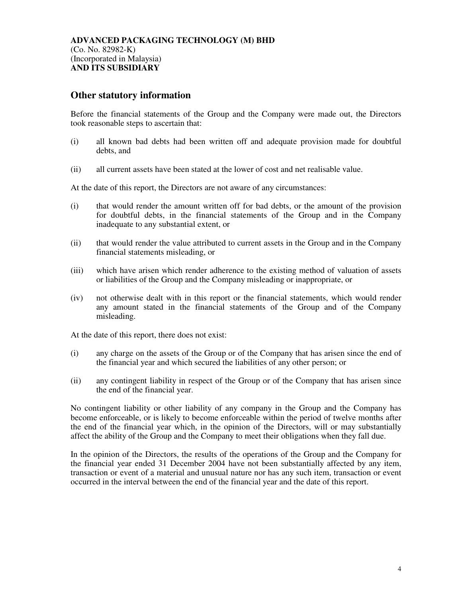#### **Other statutory information**

Before the financial statements of the Group and the Company were made out, the Directors took reasonable steps to ascertain that:

- (i) all known bad debts had been written off and adequate provision made for doubtful debts, and
- (ii) all current assets have been stated at the lower of cost and net realisable value.

At the date of this report, the Directors are not aware of any circumstances:

- (i) that would render the amount written off for bad debts, or the amount of the provision for doubtful debts, in the financial statements of the Group and in the Company inadequate to any substantial extent, or
- (ii) that would render the value attributed to current assets in the Group and in the Company financial statements misleading, or
- (iii) which have arisen which render adherence to the existing method of valuation of assets or liabilities of the Group and the Company misleading or inappropriate, or
- (iv) not otherwise dealt with in this report or the financial statements, which would render any amount stated in the financial statements of the Group and of the Company misleading.

At the date of this report, there does not exist:

- (i) any charge on the assets of the Group or of the Company that has arisen since the end of the financial year and which secured the liabilities of any other person; or
- (ii) any contingent liability in respect of the Group or of the Company that has arisen since the end of the financial year.

No contingent liability or other liability of any company in the Group and the Company has become enforceable, or is likely to become enforceable within the period of twelve months after the end of the financial year which, in the opinion of the Directors, will or may substantially affect the ability of the Group and the Company to meet their obligations when they fall due.

In the opinion of the Directors, the results of the operations of the Group and the Company for the financial year ended 31 December 2004 have not been substantially affected by any item, transaction or event of a material and unusual nature nor has any such item, transaction or event occurred in the interval between the end of the financial year and the date of this report.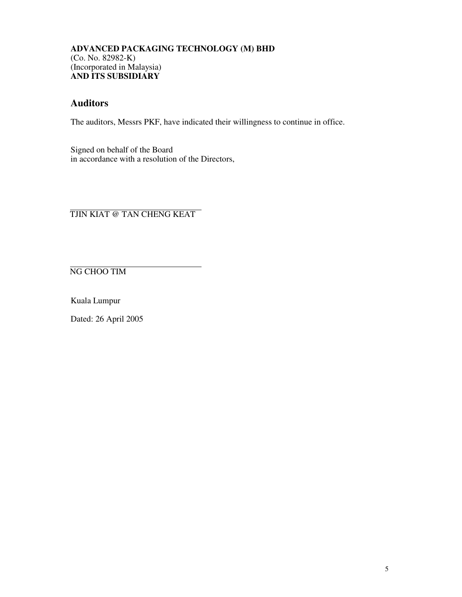# **Auditors**

The auditors, Messrs PKF, have indicated their willingness to continue in office.

Signed on behalf of the Board in accordance with a resolution of the Directors,

TJIN KIAT @ TAN CHENG KEAT

NG CHOO TIM

Kuala Lumpur

Dated: 26 April 2005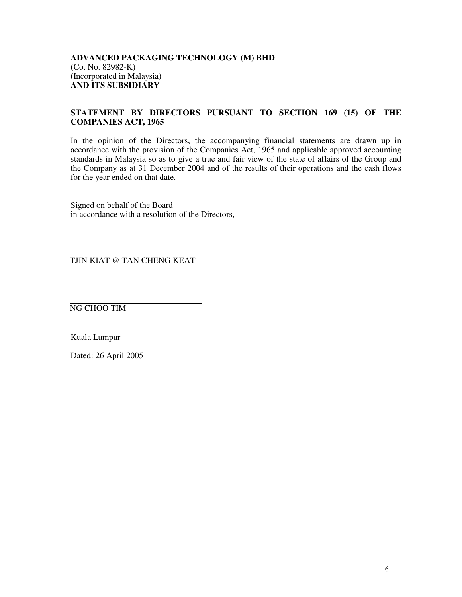#### **STATEMENT BY DIRECTORS PURSUANT TO SECTION 169 (15) OF THE COMPANIES ACT, 1965**

In the opinion of the Directors, the accompanying financial statements are drawn up in accordance with the provision of the Companies Act, 1965 and applicable approved accounting standards in Malaysia so as to give a true and fair view of the state of affairs of the Group and the Company as at 31 December 2004 and of the results of their operations and the cash flows for the year ended on that date.

Signed on behalf of the Board in accordance with a resolution of the Directors,

TJIN KIAT @ TAN CHENG KEAT

NG CHOO TIM

Kuala Lumpur

Dated: 26 April 2005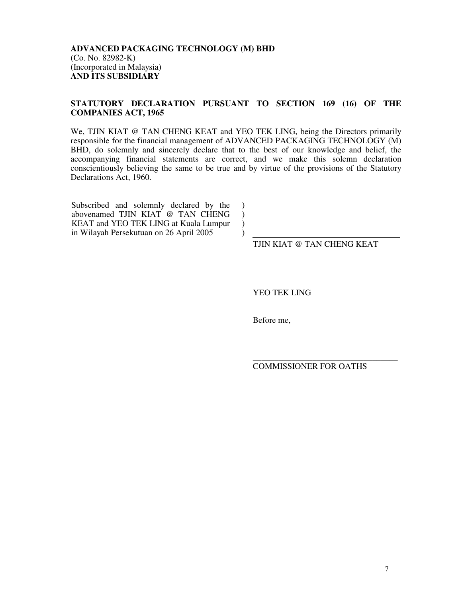#### **STATUTORY DECLARATION PURSUANT TO SECTION 169 (16) OF THE COMPANIES ACT, 1965**

We, TJIN KIAT @ TAN CHENG KEAT and YEO TEK LING, being the Directors primarily responsible for the financial management of ADVANCED PACKAGING TECHNOLOGY (M) BHD, do solemnly and sincerely declare that to the best of our knowledge and belief, the accompanying financial statements are correct, and we make this solemn declaration conscientiously believing the same to be true and by virtue of the provisions of the Statutory Declarations Act, 1960.

> $\mathcal{L}$  $\mathcal{L}$  $\lambda$  $\lambda$

Subscribed and solemnly declared by the abovenamed TJIN KIAT @ TAN CHENG KEAT and YEO TEK LING at Kuala Lumpur in Wilayah Persekutuan on 26 April 2005

TJIN KIAT @ TAN CHENG KEAT

YEO TEK LING

Before me,

\_\_\_\_\_\_\_\_\_\_\_\_\_\_\_\_\_\_\_\_\_\_\_\_\_\_\_\_\_\_\_\_\_\_ COMMISSIONER FOR OATHS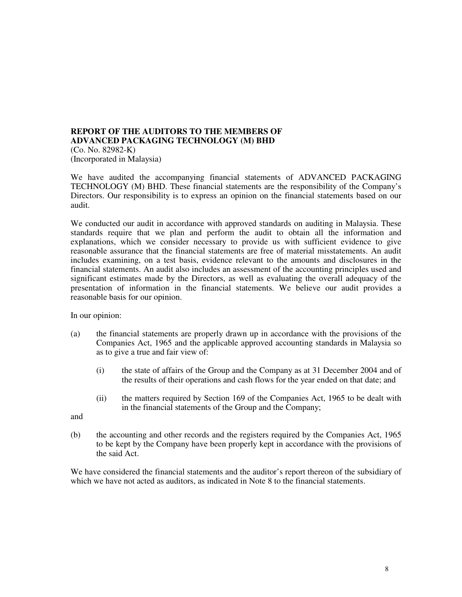#### **REPORT OF THE AUDITORS TO THE MEMBERS OF ADVANCED PACKAGING TECHNOLOGY (M) BHD**  (Co. No. 82982-K) (Incorporated in Malaysia)

We have audited the accompanying financial statements of ADVANCED PACKAGING TECHNOLOGY (M) BHD. These financial statements are the responsibility of the Company's Directors. Our responsibility is to express an opinion on the financial statements based on our audit.

We conducted our audit in accordance with approved standards on auditing in Malaysia. These standards require that we plan and perform the audit to obtain all the information and explanations, which we consider necessary to provide us with sufficient evidence to give reasonable assurance that the financial statements are free of material misstatements. An audit includes examining, on a test basis, evidence relevant to the amounts and disclosures in the financial statements. An audit also includes an assessment of the accounting principles used and significant estimates made by the Directors, as well as evaluating the overall adequacy of the presentation of information in the financial statements. We believe our audit provides a reasonable basis for our opinion.

In our opinion:

- (a) the financial statements are properly drawn up in accordance with the provisions of the Companies Act, 1965 and the applicable approved accounting standards in Malaysia so as to give a true and fair view of:
	- (i) the state of affairs of the Group and the Company as at 31 December 2004 and of the results of their operations and cash flows for the year ended on that date; and
	- (ii) the matters required by Section 169 of the Companies Act, 1965 to be dealt with in the financial statements of the Group and the Company;

and

(b) the accounting and other records and the registers required by the Companies Act, 1965 to be kept by the Company have been properly kept in accordance with the provisions of the said Act.

We have considered the financial statements and the auditor's report thereon of the subsidiary of which we have not acted as auditors, as indicated in Note 8 to the financial statements.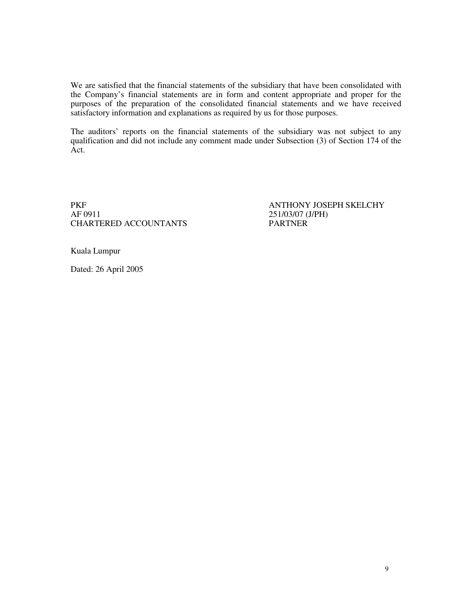We are satisfied that the financial statements of the subsidiary that have been consolidated with the Company's financial statements are in form and content appropriate and proper for the purposes of the preparation of the consolidated financial statements and we have received satisfactory information and explanations as required by us for those purposes.

The auditors' reports on the financial statements of the subsidiary was not subject to any qualification and did not include any comment made under Subsection (3) of Section 174 of the Act.

PKF ANTHONY JOSEPH SKELCHY<br>AF 0911 251/03/07 (J/PH) CHARTERED ACCOUNTANTS

251/03/07 (J/PH)<br>PARTNER

Kuala Lumpur

Dated: 26 April 2005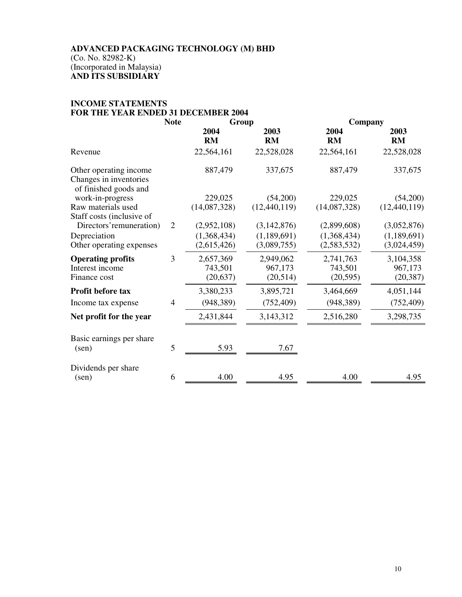# **INCOME STATEMENTS FOR THE YEAR ENDED 31 DECEMBER 2004**

|                                                                           | <b>Note</b>    | Group                                     |                                             |                                           | Company                                   |  |
|---------------------------------------------------------------------------|----------------|-------------------------------------------|---------------------------------------------|-------------------------------------------|-------------------------------------------|--|
|                                                                           |                | 2004<br><b>RM</b>                         | 2003<br><b>RM</b>                           | 2004<br><b>RM</b>                         | 2003<br><b>RM</b>                         |  |
| Revenue                                                                   |                | 22,564,161                                | 22,528,028                                  | 22,564,161                                | 22,528,028                                |  |
| Other operating income<br>Changes in inventories<br>of finished goods and |                | 887,479                                   | 337,675                                     | 887,479                                   | 337,675                                   |  |
| work-in-progress<br>Raw materials used<br>Staff costs (inclusive of       |                | 229,025<br>(14,087,328)                   | (54,200)<br>(12, 440, 119)                  | 229,025<br>(14,087,328)                   | (54,200)<br>(12, 440, 119)                |  |
| Directors' remuneration)<br>Depreciation<br>Other operating expenses      | $\overline{2}$ | (2,952,108)<br>(1,368,434)<br>(2,615,426) | (3, 142, 876)<br>(1,189,691)<br>(3,089,755) | (2,899,608)<br>(1,368,434)<br>(2,583,532) | (3,052,876)<br>(1,189,691)<br>(3,024,459) |  |
| <b>Operating profits</b><br>Interest income<br>Finance cost               | 3              | 2,657,369<br>743,501<br>(20, 637)         | 2,949,062<br>967,173<br>(20, 514)           | 2,741,763<br>743,501<br>(20, 595)         | 3,104,358<br>967,173<br>(20, 387)         |  |
| Profit before tax<br>Income tax expense                                   | $\overline{4}$ | 3,380,233<br>(948, 389)                   | 3,895,721<br>(752, 409)                     | 3,464,669<br>(948, 389)                   | 4,051,144<br>(752, 409)                   |  |
| Net profit for the year                                                   |                | 2,431,844                                 | 3,143,312                                   | 2,516,280                                 | 3,298,735                                 |  |
| Basic earnings per share<br>(sen)                                         | 5              | 5.93                                      | 7.67                                        |                                           |                                           |  |
| Dividends per share<br>$(\text{sen})$                                     | 6              | 4.00                                      | 4.95                                        | 4.00                                      | 4.95                                      |  |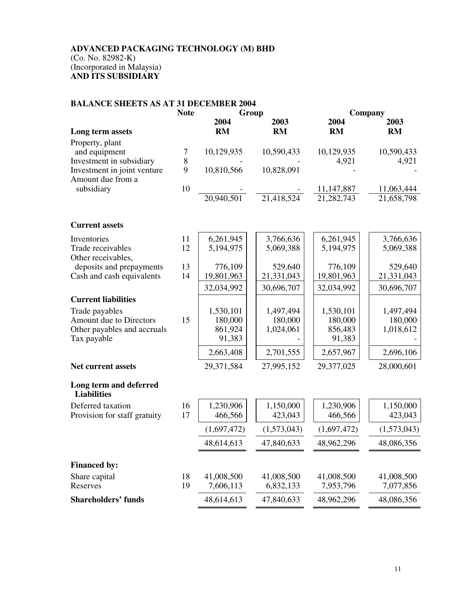# **BALANCE SHEETS AS AT 31 DECEMBER 2004**

|                                                         | <b>Note</b> | Group       |             |              | Company     |
|---------------------------------------------------------|-------------|-------------|-------------|--------------|-------------|
|                                                         |             | 2004        | 2003        | 2004         | 2003        |
| Long term assets                                        |             | <b>RM</b>   | <b>RM</b>   | <b>RM</b>    | <b>RM</b>   |
| Property, plant                                         |             |             |             |              |             |
| and equipment                                           | 7<br>8      | 10,129,935  | 10,590,433  | 10,129,935   | 10,590,433  |
| Investment in subsidiary<br>Investment in joint venture | 9           | 10,810,566  | 10,828,091  | 4,921        | 4,921       |
| Amount due from a                                       |             |             |             |              |             |
| subsidiary                                              | 10          |             |             | 11, 147, 887 | 11,063,444  |
|                                                         |             | 20,940,501  | 21,418,524  | 21,282,743   | 21,658,798  |
| <b>Current assets</b>                                   |             |             |             |              |             |
| Inventories                                             | 11          | 6,261,945   | 3,766,636   | 6,261,945    | 3,766,636   |
| Trade receivables<br>Other receivables,                 | 12          | 5,194,975   | 5,069,388   | 5,194,975    | 5,069,388   |
| deposits and prepayments                                | 13          | 776,109     | 529,640     | 776,109      | 529,640     |
| Cash and cash equivalents                               | 14          | 19,801,963  | 21,331,043  | 19,801,963   | 21,331,043  |
|                                                         |             | 32,034,992  | 30,696,707  | 32,034,992   | 30,696,707  |
| <b>Current liabilities</b>                              |             |             |             |              |             |
| Trade payables                                          |             | 1,530,101   | 1,497,494   | 1,530,101    | 1,497,494   |
| Amount due to Directors                                 | 15          | 180,000     | 180,000     | 180,000      | 180,000     |
| Other payables and accruals                             |             | 861,924     | 1,024,061   | 856,483      | 1,018,612   |
| Tax payable                                             |             | 91,383      |             | 91,383       |             |
|                                                         |             | 2,663,408   | 2,701,555   | 2,657,967    | 2,696,106   |
| <b>Net current assets</b>                               |             | 29,371,584  | 27,995,152  | 29,377,025   | 28,000,601  |
| Long term and deferred<br><b>Liabilities</b>            |             |             |             |              |             |
| Deferred taxation                                       | 16          | 1,230,906   | 1,150,000   | 1,230,906    | 1,150,000   |
| Provision for staff gratuity                            | 17          | 466,566     | 423,043     | 466,566      | 423,043     |
|                                                         |             | (1,697,472) | (1,573,043) | (1,697,472)  | (1,573,043) |
|                                                         |             | 48,614,613  | 47,840,633  | 48,962,296   | 48,086,356  |
| <b>Financed by:</b>                                     |             |             |             |              |             |
| Share capital                                           | 18          | 41,008,500  | 41,008,500  | 41,008,500   | 41,008,500  |
| Reserves                                                | 19          | 7,606,113   | 6,832,133   | 7,953,796    | 7,077,856   |
| <b>Shareholders' funds</b>                              |             | 48,614,613  | 47,840,633  | 48,962,296   | 48,086,356  |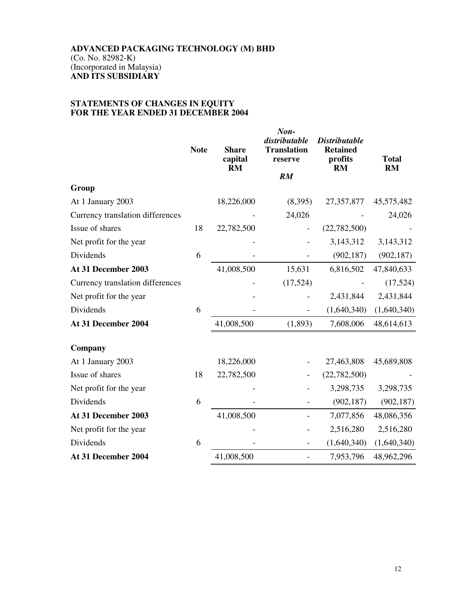## **STATEMENTS OF CHANGES IN EQUITY FOR THE YEAR ENDED 31 DECEMBER 2004**

|                                  | <b>Note</b> | <b>Share</b><br>capital<br><b>RM</b> | Non-<br>distributable<br><b>Translation</b><br>reserve | <b>Distributable</b><br><b>Retained</b><br>profits<br><b>RM</b> | <b>Total</b><br><b>RM</b> |
|----------------------------------|-------------|--------------------------------------|--------------------------------------------------------|-----------------------------------------------------------------|---------------------------|
|                                  |             |                                      | RM                                                     |                                                                 |                           |
| Group                            |             |                                      |                                                        |                                                                 |                           |
| At 1 January 2003                |             | 18,226,000                           | (8,395)                                                | 27,357,877                                                      | 45,575,482                |
| Currency translation differences |             |                                      | 24,026                                                 |                                                                 | 24,026                    |
| Issue of shares                  | 18          | 22,782,500                           | $\overline{\phantom{a}}$                               | (22, 782, 500)                                                  |                           |
| Net profit for the year          |             |                                      |                                                        | 3,143,312                                                       | 3,143,312                 |
| Dividends                        | 6           |                                      |                                                        | (902, 187)                                                      | (902, 187)                |
| At 31 December 2003              |             | 41,008,500                           | 15,631                                                 | 6,816,502                                                       | 47,840,633                |
| Currency translation differences |             |                                      | (17, 524)                                              |                                                                 | (17, 524)                 |
| Net profit for the year          |             |                                      |                                                        | 2,431,844                                                       | 2,431,844                 |
| Dividends                        | 6           |                                      | $\overline{\phantom{0}}$                               | (1,640,340)                                                     | (1,640,340)               |
| At 31 December 2004              |             | 41,008,500                           | (1, 893)                                               | 7,608,006                                                       | 48,614,613                |
| Company                          |             |                                      |                                                        |                                                                 |                           |
| At 1 January 2003                |             | 18,226,000                           |                                                        | 27,463,808                                                      | 45,689,808                |
| Issue of shares                  | 18          | 22,782,500                           |                                                        | (22, 782, 500)                                                  |                           |
| Net profit for the year          |             |                                      |                                                        | 3,298,735                                                       | 3,298,735                 |
| Dividends                        | 6           |                                      |                                                        | (902, 187)                                                      | (902, 187)                |
| At 31 December 2003              |             | 41,008,500                           | $\qquad \qquad -$                                      | 7,077,856                                                       | 48,086,356                |
| Net profit for the year          |             |                                      |                                                        | 2,516,280                                                       | 2,516,280                 |
| Dividends                        | 6           |                                      |                                                        | (1,640,340)                                                     | (1,640,340)               |
| At 31 December 2004              |             | 41,008,500                           | $\overline{\phantom{0}}$                               | 7,953,796                                                       | 48,962,296                |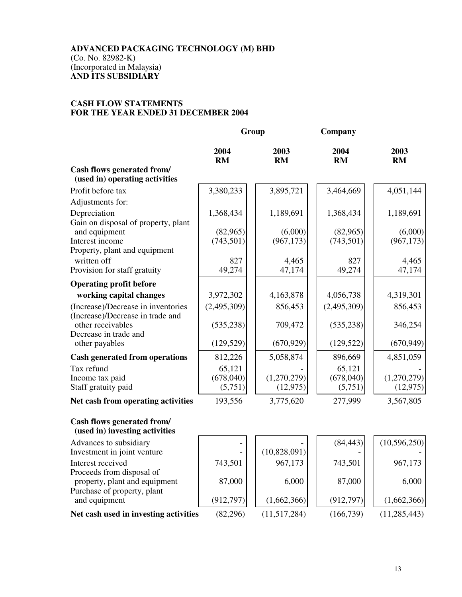#### **CASH FLOW STATEMENTS FOR THE YEAR ENDED 31 DECEMBER 2004**

|                                                                                | Group             |                     | Company           |                     |
|--------------------------------------------------------------------------------|-------------------|---------------------|-------------------|---------------------|
|                                                                                | 2004<br><b>RM</b> | 2003<br><b>RM</b>   | 2004<br><b>RM</b> | 2003<br><b>RM</b>   |
| Cash flows generated from/<br>(used in) operating activities                   |                   |                     |                   |                     |
| Profit before tax                                                              | 3,380,233         | 3,895,721           | 3,464,669         | 4,051,144           |
| Adjustments for:                                                               |                   |                     |                   |                     |
| Depreciation<br>Gain on disposal of property, plant                            | 1,368,434         | 1,189,691           | 1,368,434         | 1,189,691           |
| and equipment                                                                  | (82,965)          | (6,000)             | (82,965)          | (6,000)             |
| Interest income<br>Property, plant and equipment<br>written off                | (743, 501)<br>827 | (967, 173)<br>4,465 | (743, 501)<br>827 | (967, 173)<br>4,465 |
| Provision for staff gratuity                                                   | 49,274            | 47,174              | 49,274            | 47,174              |
| <b>Operating profit before</b>                                                 |                   |                     |                   |                     |
| working capital changes                                                        | 3,972,302         | 4,163,878           | 4,056,738         | 4,319,301           |
| (Increase)/Decrease in inventories                                             | (2,495,309)       | 856,453             | (2,495,309)       | 856,453             |
| (Increase)/Decrease in trade and<br>other receivables<br>Decrease in trade and | (535, 238)        | 709,472             | (535, 238)        | 346,254             |
| other payables                                                                 | (129, 529)        | (670, 929)          | (129, 522)        | (670, 949)          |
| <b>Cash generated from operations</b>                                          | 812,226           | 5,058,874           | 896,669           | 4,851,059           |
| Tax refund                                                                     | 65,121            |                     | 65,121            |                     |
| Income tax paid                                                                | (678,040)         | (1,270,279)         | (678,040)         | (1,270,279)         |
| Staff gratuity paid                                                            | (5,751)           | (12, 975)           | (5,751)           | (12, 975)           |
| Net cash from operating activities                                             | 193,556           | 3,775,620           | 277,999           | 3,567,805           |
| Cash flows generated from/<br>(used in) investing activities                   |                   |                     |                   |                     |
| Advances to subsidiary<br>Investment in joint venture                          |                   | (10,828,091)        | (84, 443)         | (10, 596, 250)      |
| Interest received<br>Proceeds from disposal of                                 | 743,501           | 967,173             | 743,501           | 967,173             |
| property, plant and equipment<br>Purchase of property, plant                   | 87,000            | 6,000               | 87,000            | 6,000               |
| and equipment                                                                  | (912, 797)        | (1,662,366)         | (912, 797)        | (1,662,366)         |
| Net cash used in investing activities                                          | (82, 296)         | (11,517,284)        | (166, 739)        | (11, 285, 443)      |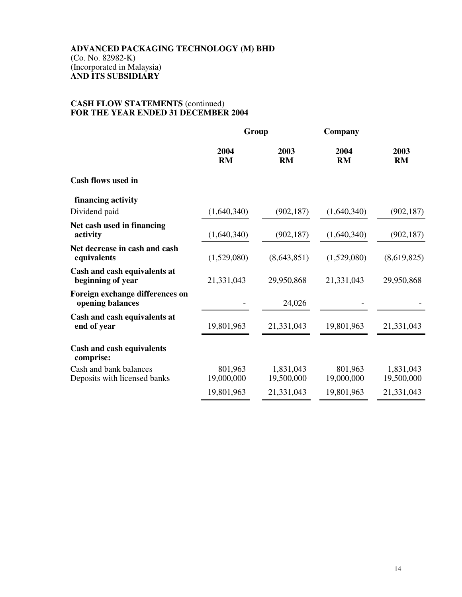#### **CASH FLOW STATEMENTS** (continued) **FOR THE YEAR ENDED 31 DECEMBER 2004**

| Group             |                   | Company           |                   |  |
|-------------------|-------------------|-------------------|-------------------|--|
| 2004<br><b>RM</b> | 2003<br><b>RM</b> | 2004<br><b>RM</b> | 2003<br><b>RM</b> |  |
|                   |                   |                   |                   |  |
|                   |                   |                   |                   |  |
| (1,640,340)       | (902, 187)        | (1,640,340)       | (902, 187)        |  |
| (1,640,340)       | (902, 187)        | (1,640,340)       | (902, 187)        |  |
| (1,529,080)       | (8,643,851)       | (1,529,080)       | (8,619,825)       |  |
| 21,331,043        | 29,950,868        | 21,331,043        | 29,950,868        |  |
|                   | 24,026            |                   |                   |  |
| 19,801,963        | 21,331,043        | 19,801,963        | 21,331,043        |  |
|                   |                   |                   |                   |  |
| 801,963           | 1,831,043         | 801,963           | 1,831,043         |  |
|                   | 19,500,000        |                   | 19,500,000        |  |
| 19,801,963        | 21,331,043        | 19,801,963        | 21,331,043        |  |
|                   | 19,000,000        |                   | 19,000,000        |  |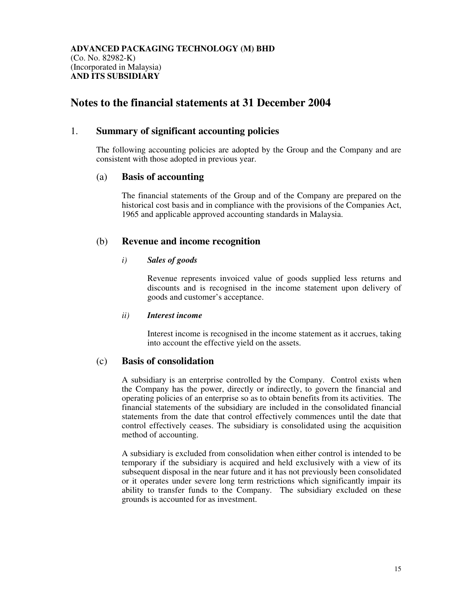# **Notes to the financial statements at 31 December 2004**

## 1. **Summary of significant accounting policies**

The following accounting policies are adopted by the Group and the Company and are consistent with those adopted in previous year.

#### (a) **Basis of accounting**

 The financial statements of the Group and of the Company are prepared on the historical cost basis and in compliance with the provisions of the Companies Act, 1965 and applicable approved accounting standards in Malaysia.

## (b) **Revenue and income recognition**

#### *i) Sales of goods*

Revenue represents invoiced value of goods supplied less returns and discounts and is recognised in the income statement upon delivery of goods and customer's acceptance.

#### *ii) Interest income*

 Interest income is recognised in the income statement as it accrues, taking into account the effective yield on the assets.

#### (c) **Basis of consolidation**

 A subsidiary is an enterprise controlled by the Company. Control exists when the Company has the power, directly or indirectly, to govern the financial and operating policies of an enterprise so as to obtain benefits from its activities. The financial statements of the subsidiary are included in the consolidated financial statements from the date that control effectively commences until the date that control effectively ceases. The subsidiary is consolidated using the acquisition method of accounting.

 A subsidiary is excluded from consolidation when either control is intended to be temporary if the subsidiary is acquired and held exclusively with a view of its subsequent disposal in the near future and it has not previously been consolidated or it operates under severe long term restrictions which significantly impair its ability to transfer funds to the Company. The subsidiary excluded on these grounds is accounted for as investment.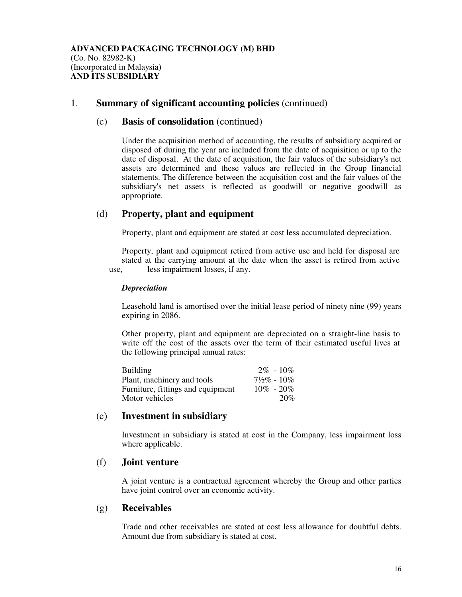#### 1. **Summary of significant accounting policies** (continued)

#### (c) **Basis of consolidation** (continued)

Under the acquisition method of accounting, the results of subsidiary acquired or disposed of during the year are included from the date of acquisition or up to the date of disposal. At the date of acquisition, the fair values of the subsidiary's net assets are determined and these values are reflected in the Group financial statements. The difference between the acquisition cost and the fair values of the subsidiary's net assets is reflected as goodwill or negative goodwill as appropriate.

## (d) **Property, plant and equipment**

Property, plant and equipment are stated at cost less accumulated depreciation.

 Property, plant and equipment retired from active use and held for disposal are stated at the carrying amount at the date when the asset is retired from active use, less impairment losses, if any.

#### *Depreciation*

Leasehold land is amortised over the initial lease period of ninety nine (99) years expiring in 2086.

 Other property, plant and equipment are depreciated on a straight-line basis to write off the cost of the assets over the term of their estimated useful lives at the following principal annual rates:

| <b>Building</b>                   | $2\% - 10\%$           |
|-----------------------------------|------------------------|
| Plant, machinery and tools        | $7\frac{1}{2}\%$ - 10% |
| Furniture, fittings and equipment | $10\% - 20\%$          |
| Motor vehicles                    | 20%                    |

#### (e) **Investment in subsidiary**

 Investment in subsidiary is stated at cost in the Company, less impairment loss where applicable.

#### (f) **Joint venture**

A joint venture is a contractual agreement whereby the Group and other parties have joint control over an economic activity.

#### (g) **Receivables**

Trade and other receivables are stated at cost less allowance for doubtful debts. Amount due from subsidiary is stated at cost.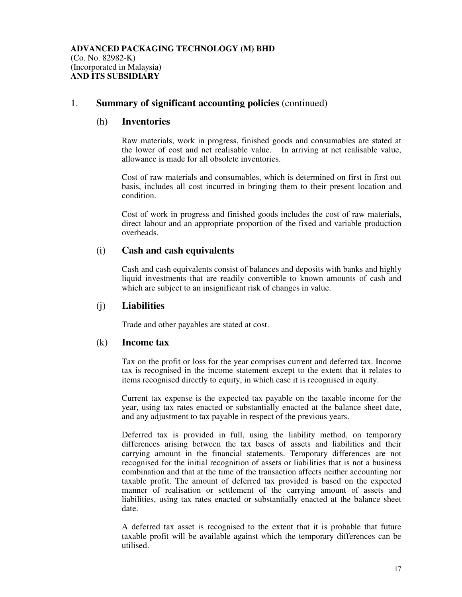## 1. **Summary of significant accounting policies** (continued)

#### (h) **Inventories**

 Raw materials, work in progress, finished goods and consumables are stated at the lower of cost and net realisable value. In arriving at net realisable value, allowance is made for all obsolete inventories.

 Cost of raw materials and consumables, which is determined on first in first out basis, includes all cost incurred in bringing them to their present location and condition.

Cost of work in progress and finished goods includes the cost of raw materials, direct labour and an appropriate proportion of the fixed and variable production overheads.

#### (i) **Cash and cash equivalents**

 Cash and cash equivalents consist of balances and deposits with banks and highly liquid investments that are readily convertible to known amounts of cash and which are subject to an insignificant risk of changes in value.

#### (j) **Liabilities**

Trade and other payables are stated at cost.

#### (k) **Income tax**

Tax on the profit or loss for the year comprises current and deferred tax. Income tax is recognised in the income statement except to the extent that it relates to items recognised directly to equity, in which case it is recognised in equity.

Current tax expense is the expected tax payable on the taxable income for the year, using tax rates enacted or substantially enacted at the balance sheet date, and any adjustment to tax payable in respect of the previous years.

 Deferred tax is provided in full, using the liability method, on temporary differences arising between the tax bases of assets and liabilities and their carrying amount in the financial statements. Temporary differences are not recognised for the initial recognition of assets or liabilities that is not a business combination and that at the time of the transaction affects neither accounting nor taxable profit. The amount of deferred tax provided is based on the expected manner of realisation or settlement of the carrying amount of assets and liabilities, using tax rates enacted or substantially enacted at the balance sheet date.

 A deferred tax asset is recognised to the extent that it is probable that future taxable profit will be available against which the temporary differences can be utilised.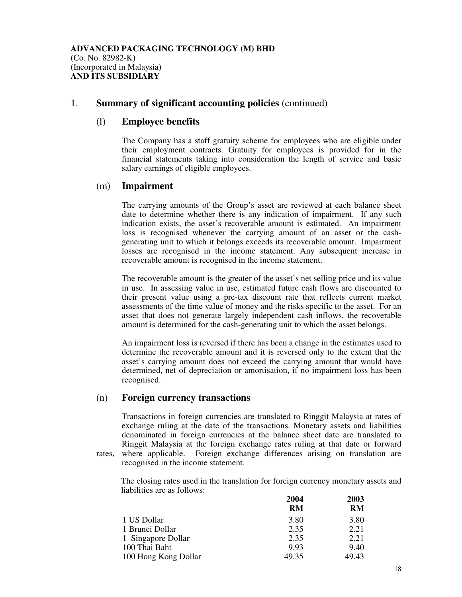## 1. **Summary of significant accounting policies** (continued)

#### (l) **Employee benefits**

 The Company has a staff gratuity scheme for employees who are eligible under their employment contracts. Gratuity for employees is provided for in the financial statements taking into consideration the length of service and basic salary earnings of eligible employees.

#### (m) **Impairment**

 The carrying amounts of the Group's asset are reviewed at each balance sheet date to determine whether there is any indication of impairment. If any such indication exists, the asset's recoverable amount is estimated. An impairment loss is recognised whenever the carrying amount of an asset or the cash generating unit to which it belongs exceeds its recoverable amount. Impairment losses are recognised in the income statement. Any subsequent increase in recoverable amount is recognised in the income statement.

 The recoverable amount is the greater of the asset's net selling price and its value in use. In assessing value in use, estimated future cash flows are discounted to their present value using a pre-tax discount rate that reflects current market assessments of the time value of money and the risks specific to the asset. For an asset that does not generate largely independent cash inflows, the recoverable amount is determined for the cash-generating unit to which the asset belongs.

 An impairment loss is reversed if there has been a change in the estimates used to determine the recoverable amount and it is reversed only to the extent that the asset's carrying amount does not exceed the carrying amount that would have determined, net of depreciation or amortisation, if no impairment loss has been recognised.

#### (n) **Foreign currency transactions**

Transactions in foreign currencies are translated to Ringgit Malaysia at rates of exchange ruling at the date of the transactions. Monetary assets and liabilities denominated in foreign currencies at the balance sheet date are translated to Ringgit Malaysia at the foreign exchange rates ruling at that date or forward rates, where applicable. Foreign exchange differences arising on translation are recognised in the income statement.

The closing rates used in the translation for foreign currency monetary assets and liabilities are as follows:

|                      | 2004      | 2003      |
|----------------------|-----------|-----------|
|                      | <b>RM</b> | <b>RM</b> |
| 1 US Dollar          | 3.80      | 3.80      |
| 1 Brunei Dollar      | 2.35      | 2.21      |
| 1 Singapore Dollar   | 2.35      | 2.21      |
| 100 Thai Baht        | 9.93      | 9.40      |
| 100 Hong Kong Dollar | 49.35     | 49.43     |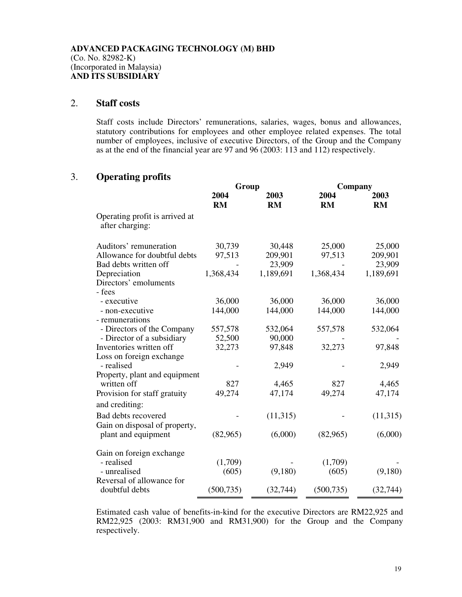## 2. **Staff costs**

Staff costs include Directors' remunerations, salaries, wages, bonus and allowances, statutory contributions for employees and other employee related expenses. The total number of employees, inclusive of executive Directors, of the Group and the Company as at the end of the financial year are 97 and 96 (2003: 113 and 112) respectively.

## 3. **Operating profits**

|                                                   | Group      |           | Company    |           |
|---------------------------------------------------|------------|-----------|------------|-----------|
|                                                   | 2004       | 2003      | 2004       | 2003      |
|                                                   | <b>RM</b>  | RM        | RM         | <b>RM</b> |
| Operating profit is arrived at<br>after charging: |            |           |            |           |
| Auditors' remuneration                            | 30,739     | 30,448    | 25,000     | 25,000    |
| Allowance for doubtful debts                      | 97,513     | 209,901   | 97,513     | 209,901   |
| Bad debts written off                             |            | 23,909    |            | 23,909    |
| Depreciation                                      | 1,368,434  | 1,189,691 | 1,368,434  | 1,189,691 |
| Directors' emoluments                             |            |           |            |           |
| - fees                                            |            |           |            |           |
| - executive                                       | 36,000     | 36,000    | 36,000     | 36,000    |
| - non-executive                                   | 144,000    | 144,000   | 144,000    | 144,000   |
| - remunerations                                   |            |           |            |           |
| - Directors of the Company                        | 557,578    | 532,064   | 557,578    | 532,064   |
| - Director of a subsidiary                        | 52,500     | 90,000    |            |           |
| Inventories written off                           | 32,273     | 97,848    | 32,273     | 97,848    |
| Loss on foreign exchange                          |            |           |            |           |
| - realised                                        |            | 2,949     |            | 2,949     |
| Property, plant and equipment                     |            |           |            |           |
| written off                                       | 827        | 4,465     | 827        | 4,465     |
| Provision for staff gratuity                      | 49,274     | 47,174    | 49,274     | 47,174    |
| and crediting:                                    |            |           |            |           |
| Bad debts recovered                               |            | (11,315)  |            | (11, 315) |
| Gain on disposal of property,                     |            |           |            |           |
| plant and equipment                               | (82,965)   | (6,000)   | (82,965)   | (6,000)   |
|                                                   |            |           |            |           |
| Gain on foreign exchange                          |            |           |            |           |
| - realised                                        | (1,709)    |           | (1,709)    |           |
| - unrealised                                      | (605)      | (9,180)   | (605)      | (9,180)   |
| Reversal of allowance for                         |            |           |            |           |
| doubtful debts                                    | (500, 735) | (32, 744) | (500, 735) | (32, 744) |

Estimated cash value of benefits-in-kind for the executive Directors are RM22,925 and RM22,925 (2003: RM31,900 and RM31,900) for the Group and the Company respectively.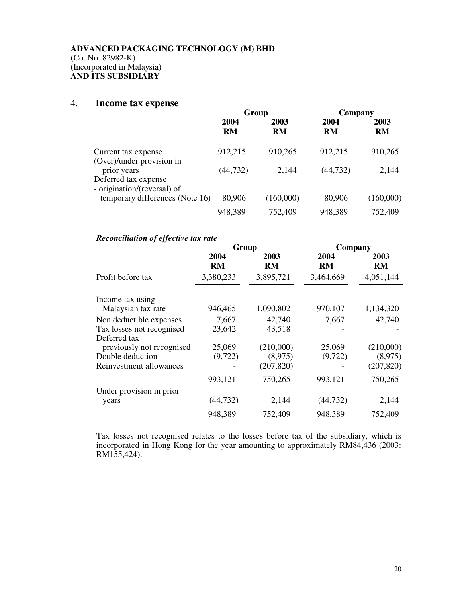## 4. **Income tax expense**

|                                                     | Group     |           | Company   |           |
|-----------------------------------------------------|-----------|-----------|-----------|-----------|
|                                                     | 2004      | 2003      | 2004      | 2003      |
|                                                     | <b>RM</b> | <b>RM</b> | <b>RM</b> | <b>RM</b> |
| Current tax expense                                 | 912,215   | 910,265   | 912,215   | 910,265   |
| (Over)/under provision in<br>prior years            | (44, 732) | 2,144     | (44, 732) | 2,144     |
| Deferred tax expense<br>- origination/(reversal) of |           |           |           |           |
| temporary differences (Note 16)                     | 80,906    | (160,000) | 80,906    | (160,000) |
|                                                     | 948,389   | 752,409   | 948,389   | 752,409   |

# *Reconciliation of effective tax rate*

|                           | Group             |                   | Company    |            |  |
|---------------------------|-------------------|-------------------|------------|------------|--|
|                           | 2004<br><b>RM</b> | 2003<br><b>RM</b> | 2004<br>RM | 2003<br>RM |  |
| Profit before tax         | 3,380,233         | 3,895,721         | 3,464,669  | 4,051,144  |  |
| Income tax using          |                   |                   |            |            |  |
| Malaysian tax rate        | 946,465           | 1,090,802         | 970,107    | 1,134,320  |  |
| Non deductible expenses   | 7,667             | 42,740            | 7,667      | 42,740     |  |
| Tax losses not recognised | 23,642            | 43,518            |            |            |  |
| Deferred tax              |                   |                   |            |            |  |
| previously not recognised | 25,069            | (210,000)         | 25,069     | (210,000)  |  |
| Double deduction          | (9,722)           | (8,975)           | (9,722)    | (8,975)    |  |
| Reinvestment allowances   |                   | (207, 820)        |            | (207, 820) |  |
|                           | 993,121           | 750,265           | 993,121    | 750,265    |  |
| Under provision in prior  |                   |                   |            |            |  |
| years                     | (44, 732)         | 2,144             | (44, 732)  | 2,144      |  |
|                           | 948,389           | 752,409           | 948,389    | 752,409    |  |

Tax losses not recognised relates to the losses before tax of the subsidiary, which is incorporated in Hong Kong for the year amounting to approximately RM84,436 (2003: RM155,424).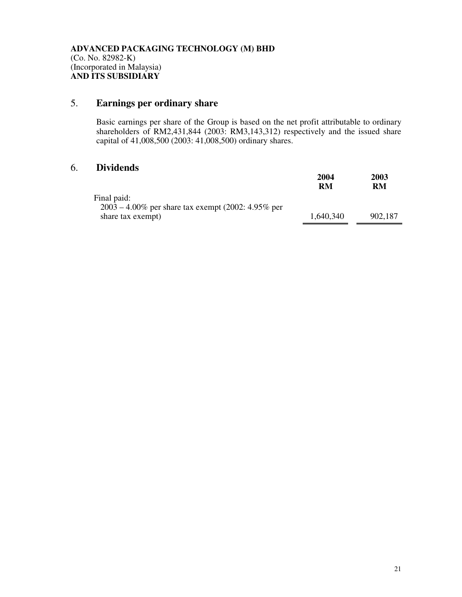# 5. **Earnings per ordinary share**

Basic earnings per share of the Group is based on the net profit attributable to ordinary shareholders of RM2,431,844 (2003: RM3,143,312) respectively and the issued share capital of 41,008,500 (2003: 41,008,500) ordinary shares.

# 6. **Dividends**

|                                                                      | 2004<br>RM | 2003<br>RM |
|----------------------------------------------------------------------|------------|------------|
| Final paid:<br>$2003 - 4.00\%$ per share tax exempt (2002: 4.95% per |            |            |
| share tax exempt)                                                    | 1,640,340  | 902,187    |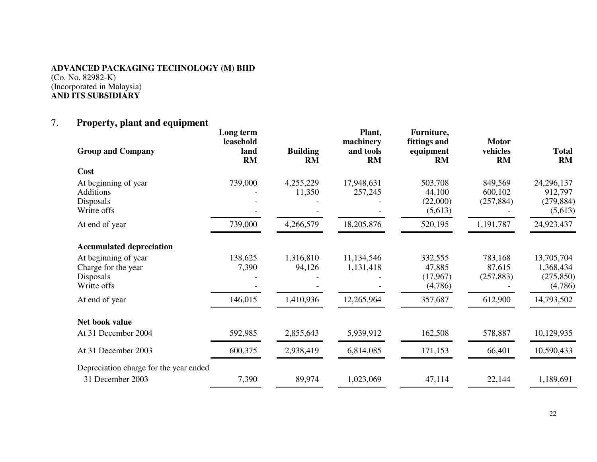# **ADVANCED PACKAGING TECHNOLOGY (M) BHD**

(Co. No. 82982-K) (Incorporated in Malaysia) **AND ITS SUBSIDIARY** 

# 7. **Property, plant and equipment**

| <b>Group and Company</b>                                                                                          | Long term<br>leasehold<br>land<br><b>RM</b> | <b>Building</b><br>RM | Plant,<br>machinery<br>and tools<br><b>RM</b> | Furniture,<br>fittings and<br>equipment<br><b>RM</b> | <b>Motor</b><br>vehicles<br><b>RM</b> | <b>Total</b><br>RM                               |
|-------------------------------------------------------------------------------------------------------------------|---------------------------------------------|-----------------------|-----------------------------------------------|------------------------------------------------------|---------------------------------------|--------------------------------------------------|
| Cost                                                                                                              |                                             |                       |                                               |                                                      |                                       |                                                  |
| At beginning of year<br><b>Additions</b><br><b>Disposals</b><br>Writte offs                                       | 739,000                                     | 4,255,229<br>11,350   | 17,948,631<br>257,245                         | 503,708<br>44,100<br>(22,000)<br>(5,613)             | 849,569<br>600,102<br>(257, 884)      | 24,296,137<br>912,797<br>(279, 884)<br>(5,613)   |
| At end of year                                                                                                    | 739,000                                     | 4,266,579             | 18,205,876                                    | 520,195                                              | 1,191,787                             | 24,923,437                                       |
| <b>Accumulated depreciation</b><br>At beginning of year<br>Charge for the year<br><b>Disposals</b><br>Writte offs | 138,625<br>7,390                            | 1,316,810<br>94,126   | 11,134,546<br>1,131,418                       | 332,555<br>47,885<br>(17,967)<br>(4,786)             | 783,168<br>87,615<br>(257, 883)       | 13,705,704<br>1,368,434<br>(275, 850)<br>(4,786) |
| At end of year                                                                                                    | 146,015                                     | 1,410,936             | 12,265,964                                    | 357,687                                              | 612,900                               | 14,793,502                                       |
| Net book value<br>At 31 December 2004                                                                             | 592,985                                     | 2,855,643             | 5,939,912                                     | 162,508                                              | 578,887                               | 10,129,935                                       |
| At 31 December 2003                                                                                               | 600,375                                     | 2,938,419             | 6,814,085                                     | 171,153                                              | 66,401                                | 10,590,433                                       |
| Depreciation charge for the year ended<br>31 December 2003                                                        | 7,390                                       | 89,974                | 1,023,069                                     | 47,114                                               | 22,144                                | 1,189,691                                        |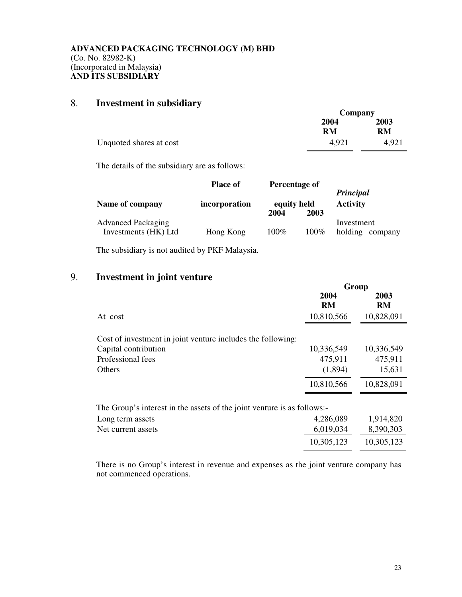# 8. **Investment in subsidiary**

|                         | Company    |                   |  |
|-------------------------|------------|-------------------|--|
|                         | 2004<br>RM | 2003<br><b>RM</b> |  |
| Unquoted shares at cost | 4.921      | 4,921             |  |

The details of the subsidiary are as follows:

|                                                   | <b>Place of</b> | Percentage of               |         | Principal                     |  |
|---------------------------------------------------|-----------------|-----------------------------|---------|-------------------------------|--|
| Name of company                                   | incorporation   | equity held<br>2004<br>2003 |         | <b>Activity</b>               |  |
| <b>Advanced Packaging</b><br>Investments (HK) Ltd | Hong Kong       | $100\%$                     | $100\%$ | Investment<br>holding company |  |

The subsidiary is not audited by PKF Malaysia.

# 9. **Investment in joint venture**

|                                                                         | Group      |            |  |
|-------------------------------------------------------------------------|------------|------------|--|
|                                                                         | 2004<br>RM | 2003<br>RM |  |
| At cost                                                                 | 10,810,566 | 10,828,091 |  |
| Cost of investment in joint venture includes the following:             |            |            |  |
| Capital contribution                                                    | 10,336,549 | 10,336,549 |  |
| Professional fees                                                       | 475,911    | 475,911    |  |
| Others                                                                  | (1,894)    | 15,631     |  |
|                                                                         | 10,810,566 | 10,828,091 |  |
| The Group's interest in the assets of the joint venture is as follows:- |            |            |  |
| Long term assets                                                        | 4,286,089  | 1,914,820  |  |
| Net current assets                                                      | 6,019,034  | 8,390,303  |  |
|                                                                         | 10,305,123 | 10,305,123 |  |
|                                                                         |            |            |  |

There is no Group's interest in revenue and expenses as the joint venture company has not commenced operations.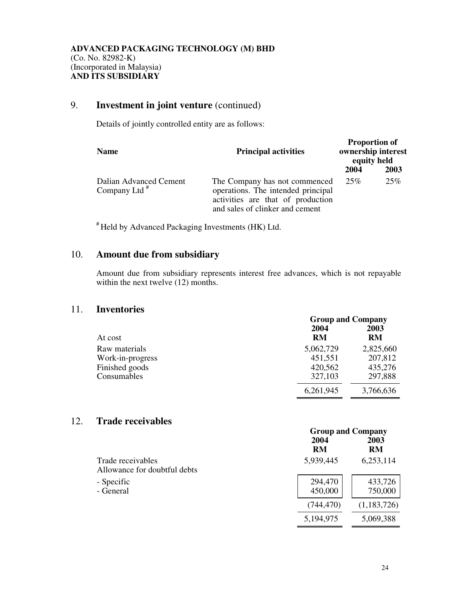# 9. **Investment in joint venture** (continued)

Details of jointly controlled entity are as follows:

| <b>Name</b>                               | <b>Principal activities</b>                                                                                                                 | <b>Proportion of</b><br>ownership interest<br>equity held |      |
|-------------------------------------------|---------------------------------------------------------------------------------------------------------------------------------------------|-----------------------------------------------------------|------|
|                                           |                                                                                                                                             | 2004                                                      | 2003 |
| Dalian Advanced Cement<br>Company Ltd $#$ | The Company has not commenced<br>operations. The intended principal<br>activities are that of production<br>and sales of clinker and cement | 25%                                                       | 25\% |

# Held by Advanced Packaging Investments (HK) Ltd.

# 10. **Amount due from subsidiary**

 Amount due from subsidiary represents interest free advances, which is not repayable within the next twelve (12) months.

## 11. **Inventories**

|                  | <b>Group and Company</b> |            |  |
|------------------|--------------------------|------------|--|
| At cost          | 2004<br>RM               | 2003<br>RM |  |
| Raw materials    | 5,062,729                | 2,825,660  |  |
| Work-in-progress | 451,551                  | 207,812    |  |
| Finished goods   | 420,562                  | 435,276    |  |
| Consumables      | 327,103                  | 297,888    |  |
|                  | 6,261,945                | 3,766,636  |  |

# 12. **Trade receivables**

|                                                   |                    | $O104p$ and $O01p$ an |  |  |
|---------------------------------------------------|--------------------|-----------------------|--|--|
|                                                   | 2004<br><b>RM</b>  | 2003<br><b>RM</b>     |  |  |
| Trade receivables<br>Allowance for doubtful debts | 5,939,445          | 6,253,114             |  |  |
| - Specific<br>- General                           | 294,470<br>450,000 | 433,726<br>750,000    |  |  |
|                                                   | (744, 470)         | (1,183,726)           |  |  |
|                                                   | 5,194,975          | 5,069,388             |  |  |

**Group and Company**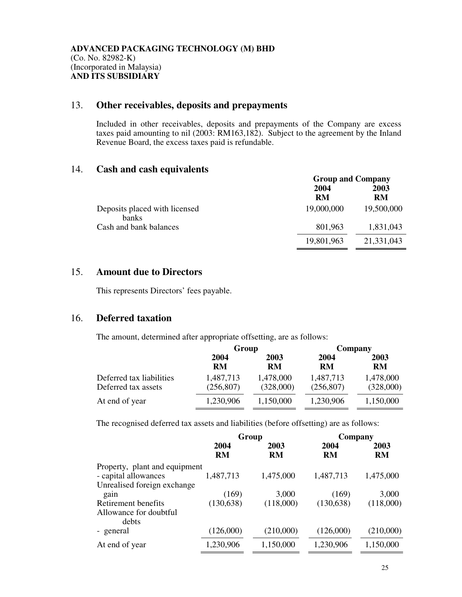# 13. **Other receivables, deposits and prepayments**

 Included in other receivables, deposits and prepayments of the Company are excess taxes paid amounting to nil (2003: RM163,182). Subject to the agreement by the Inland Revenue Board, the excess taxes paid is refundable.

## 14. **Cash and cash equivalents**

|                                               | <b>Group and Company</b> |            |  |
|-----------------------------------------------|--------------------------|------------|--|
|                                               | 2004<br><b>RM</b>        | 2003<br>RM |  |
| Deposits placed with licensed<br><b>banks</b> | 19,000,000               | 19,500,000 |  |
| Cash and bank balances                        | 801,963                  | 1,831,043  |  |
|                                               | 19,801,963               | 21,331,043 |  |

# 15. **Amount due to Directors**

This represents Directors' fees payable.

# 16. **Deferred taxation**

The amount, determined after appropriate offsetting, are as follows:

|                          |            | Group     |            | Company   |
|--------------------------|------------|-----------|------------|-----------|
|                          | 2004       | 2003      | 2004       | 2003      |
|                          | <b>RM</b>  | RM        | RM         | RM        |
| Deferred tax liabilities | 1,487,713  | 1,478,000 | 1,487,713  | 1,478,000 |
| Deferred tax assets      | (256, 807) | (328,000) | (256, 807) | (328,000) |
| At end of year           | 1,230,906  | 1,150,000 | 1,230,906  | 1,150,000 |

The recognised deferred tax assets and liabilities (before offsetting) are as follows:

|                                 | Group             |                   | Company    |                   |
|---------------------------------|-------------------|-------------------|------------|-------------------|
|                                 | 2004<br><b>RM</b> | 2003<br><b>RM</b> | 2004<br>RM | 2003<br><b>RM</b> |
| Property, plant and equipment   |                   |                   |            |                   |
| - capital allowances            | 1,487,713         | 1,475,000         | 1,487,713  | 1,475,000         |
| Unrealised foreign exchange     |                   |                   |            |                   |
| gain                            | (169)             | 3,000             | (169)      | 3,000             |
| Retirement benefits             | (130, 638)        | (118,000)         | (130, 638) | (118,000)         |
| Allowance for doubtful<br>debts |                   |                   |            |                   |
| - general                       | (126,000)         | (210,000)         | (126,000)  | (210,000)         |
| At end of year                  | 1,230,906         | 1,150,000         | 1,230,906  | 1,150,000         |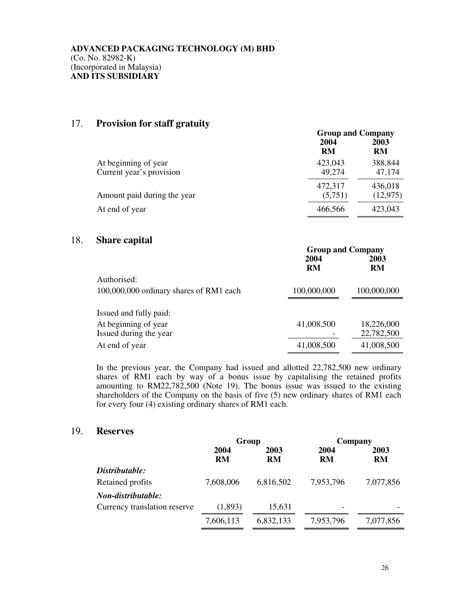# 17. **Provision for staff gratuity**

|                                                  | <b>Group and Company</b> |                      |  |
|--------------------------------------------------|--------------------------|----------------------|--|
|                                                  | 2004<br>RM               | 2003<br><b>RM</b>    |  |
| At beginning of year<br>Current year's provision | 423,043<br>49,274        | 388,844<br>47,174    |  |
| Amount paid during the year                      | 472,317<br>(5,751)       | 436,018<br>(12, 975) |  |
| At end of year                                   | 466,566                  | 423,043              |  |

#### 18. **Share capital**

|                                         | <b>Group and Company</b> |             |  |
|-----------------------------------------|--------------------------|-------------|--|
|                                         | 2004                     | 2003        |  |
|                                         | <b>RM</b>                | <b>RM</b>   |  |
| Authorised:                             |                          |             |  |
| 100,000,000 ordinary shares of RM1 each | 100,000,000              | 100,000,000 |  |
| Issued and fully paid:                  |                          |             |  |
|                                         |                          |             |  |
| At beginning of year                    | 41,008,500               | 18,226,000  |  |
| Issued during the year                  |                          | 22,782,500  |  |
| At end of year                          | 41,008,500               | 41,008,500  |  |

In the previous year, the Company had issued and allotted 22,782,500 new ordinary shares of RM1 each by way of a bonus issue by capitalising the retained profits amounting to RM22,782,500 (Note 19). The bonus issue was issued to the existing shareholders of the Company on the basis of five (5) new ordinary shares of RM1 each for every four (4) existing ordinary shares of RM1 each.

#### 19. **Reserves**

|                              | Group             |            | Company           |            |
|------------------------------|-------------------|------------|-------------------|------------|
|                              | 2004<br><b>RM</b> | 2003<br>RM | 2004<br><b>RM</b> | 2003<br>RM |
| Distributable:               |                   |            |                   |            |
| Retained profits             | 7,608,006         | 6,816,502  | 7,953,796         | 7,077,856  |
| Non-distributable:           |                   |            |                   |            |
| Currency translation reserve | (1,893)           | 15,631     |                   |            |
|                              | 7,606,113         | 6,832,133  | 7,953,796         | 7,077,856  |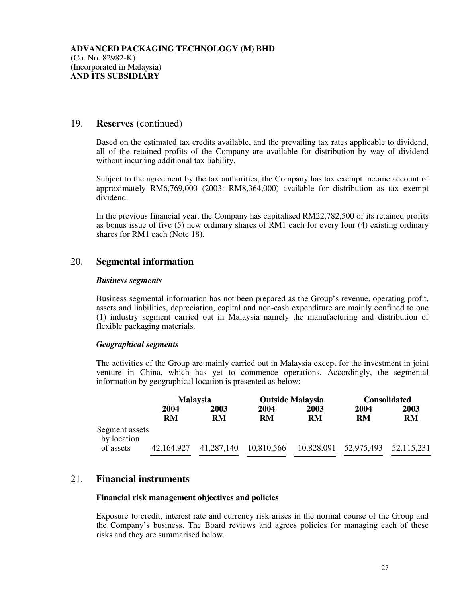#### 19. **Reserves** (continued)

Based on the estimated tax credits available, and the prevailing tax rates applicable to dividend, all of the retained profits of the Company are available for distribution by way of dividend without incurring additional tax liability.

 Subject to the agreement by the tax authorities, the Company has tax exempt income account of approximately RM6,769,000 (2003: RM8,364,000) available for distribution as tax exempt dividend.

 In the previous financial year, the Company has capitalised RM22,782,500 of its retained profits as bonus issue of five (5) new ordinary shares of RM1 each for every four (4) existing ordinary shares for RM1 each (Note 18).

## 20. **Segmental information**

#### *Business segments*

Business segmental information has not been prepared as the Group's revenue, operating profit, assets and liabilities, depreciation, capital and non-cash expenditure are mainly confined to one (1) industry segment carried out in Malaysia namely the manufacturing and distribution of flexible packaging materials.

#### *Geographical segments*

The activities of the Group are mainly carried out in Malaysia except for the investment in joint venture in China, which has yet to commence operations. Accordingly, the segmental information by geographical location is presented as below:

|                               | <b>Malaysia</b> |            | <b>Outside Malaysia</b> |           | <b>Consolidated</b>   |            |
|-------------------------------|-----------------|------------|-------------------------|-----------|-----------------------|------------|
|                               | 2004            | 2003       | 2004                    | 2003      | 2004                  | 2003       |
|                               | RM              | RM         | RM                      | <b>RM</b> | RM                    | <b>RM</b>  |
| Segment assets<br>by location |                 |            |                         |           |                       |            |
| of assets                     | 42,164,927      | 41,287,140 | 10,810,566              |           | 10,828,091 52,975,493 | 52,115,231 |

# 21. **Financial instruments**

#### **Financial risk management objectives and policies**

Exposure to credit, interest rate and currency risk arises in the normal course of the Group and the Company's business. The Board reviews and agrees policies for managing each of these risks and they are summarised below.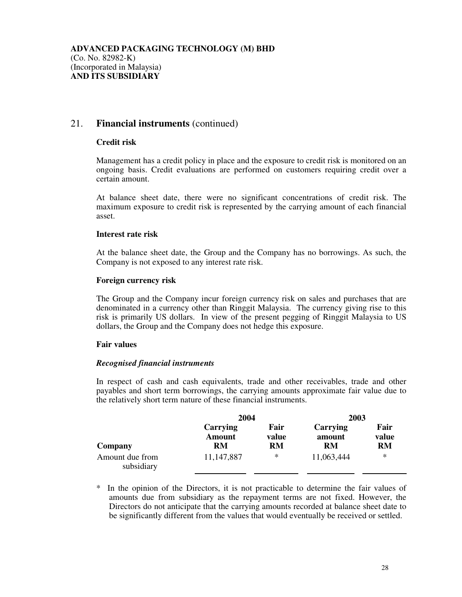# 21. **Financial instruments** (continued)

#### **Credit risk**

 Management has a credit policy in place and the exposure to credit risk is monitored on an ongoing basis. Credit evaluations are performed on customers requiring credit over a certain amount.

 At balance sheet date, there were no significant concentrations of credit risk. The maximum exposure to credit risk is represented by the carrying amount of each financial asset.

#### **Interest rate risk**

 At the balance sheet date, the Group and the Company has no borrowings. As such, the Company is not exposed to any interest rate risk.

#### **Foreign currency risk**

The Group and the Company incur foreign currency risk on sales and purchases that are denominated in a currency other than Ringgit Malaysia. The currency giving rise to this risk is primarily US dollars. In view of the present pegging of Ringgit Malaysia to US dollars, the Group and the Company does not hedge this exposure.

#### **Fair values**

#### *Recognised financial instruments*

 In respect of cash and cash equivalents, trade and other receivables, trade and other payables and short term borrowings, the carrying amounts approximate fair value due to the relatively short term nature of these financial instruments.

|                               | 2004                            |                            | 2003                     |                     |
|-------------------------------|---------------------------------|----------------------------|--------------------------|---------------------|
| Company                       | Carrying<br><b>Amount</b><br>RM | Fair<br>value<br><b>RM</b> | Carrying<br>amount<br>RM | Fair<br>value<br>RM |
| Amount due from<br>subsidiary | 11, 147, 887                    | *                          | 11,063,444               | ∗                   |

In the opinion of the Directors, it is not practicable to determine the fair values of amounts due from subsidiary as the repayment terms are not fixed. However, the Directors do not anticipate that the carrying amounts recorded at balance sheet date to be significantly different from the values that would eventually be received or settled.